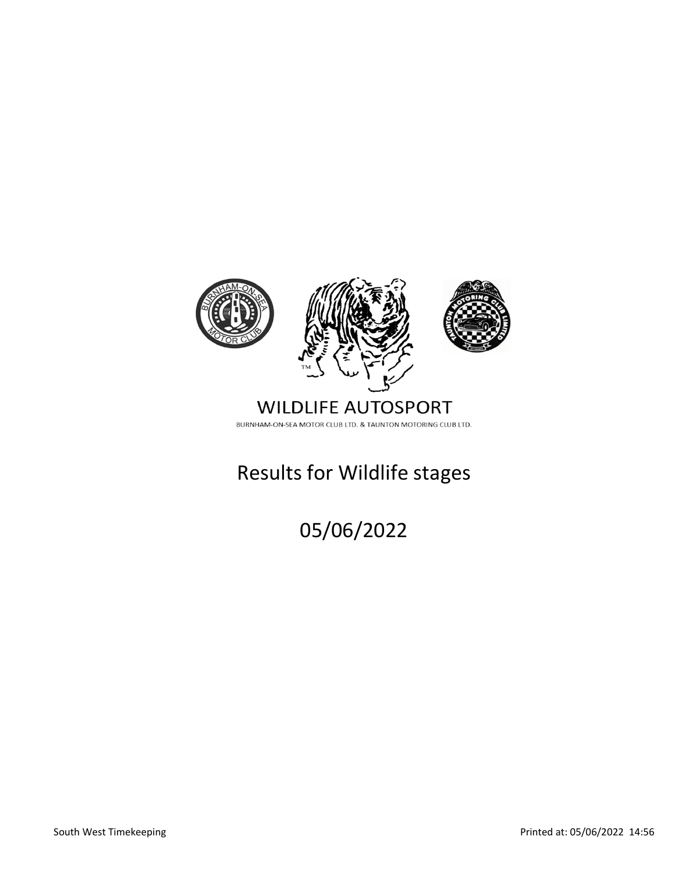

### **WILDLIFE AUTOSPORT** BURNHAM-ON-SEA MOTOR CLUB LTD. & TAUNTON MOTORING CLUB LTD.

# Results for Wildlife stages

05/06/2022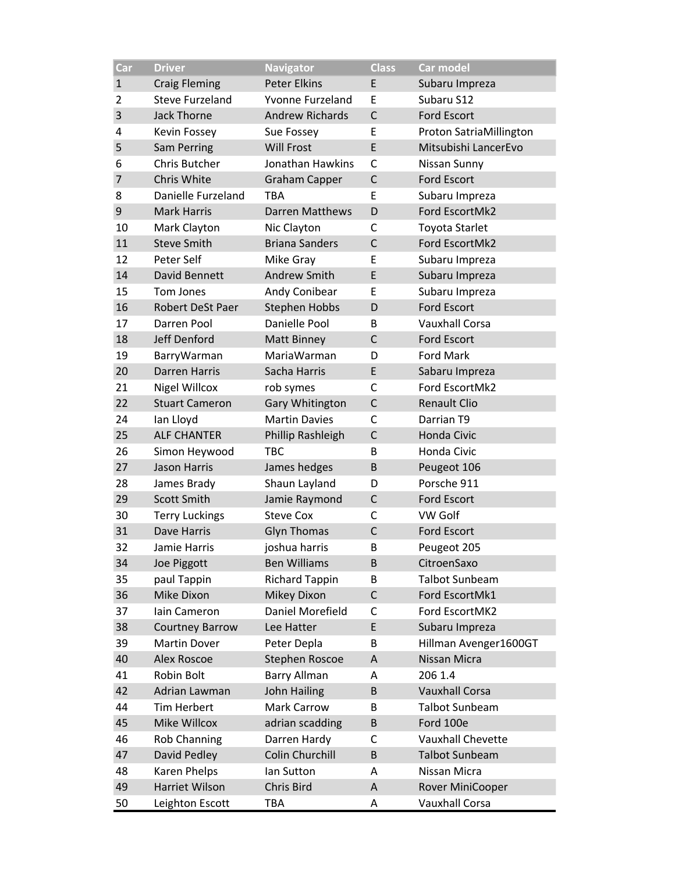| Car          | <b>Driver</b>           | <b>Navigator</b>       | <b>Class</b> | <b>Car model</b>        |
|--------------|-------------------------|------------------------|--------------|-------------------------|
| $\mathbf{1}$ | <b>Craig Fleming</b>    | <b>Peter Elkins</b>    | E            | Subaru Impreza          |
| 2            | <b>Steve Furzeland</b>  | Yvonne Furzeland       | E            | Subaru S12              |
| 3            | <b>Jack Thorne</b>      | <b>Andrew Richards</b> | $\mathsf{C}$ | <b>Ford Escort</b>      |
| 4            | Kevin Fossey            | Sue Fossey             | E            | Proton SatriaMillington |
| 5            | Sam Perring             | <b>Will Frost</b>      | E            | Mitsubishi LancerEvo    |
| 6            | Chris Butcher           | Jonathan Hawkins       | $\mathsf{C}$ | Nissan Sunny            |
| 7            | Chris White             | <b>Graham Capper</b>   | $\mathsf{C}$ | <b>Ford Escort</b>      |
| 8            | Danielle Furzeland      | TBA                    | E            | Subaru Impreza          |
| 9            | <b>Mark Harris</b>      | <b>Darren Matthews</b> | D            | Ford EscortMk2          |
| 10           | Mark Clayton            | Nic Clayton            | C            | <b>Toyota Starlet</b>   |
| 11           | <b>Steve Smith</b>      | <b>Briana Sanders</b>  | $\mathsf{C}$ | Ford EscortMk2          |
| 12           | Peter Self              | Mike Gray              | E            | Subaru Impreza          |
| 14           | David Bennett           | Andrew Smith           | E            | Subaru Impreza          |
| 15           | Tom Jones               | Andy Conibear          | E            | Subaru Impreza          |
| 16           | <b>Robert DeSt Paer</b> | <b>Stephen Hobbs</b>   | D            | <b>Ford Escort</b>      |
| 17           | Darren Pool             | Danielle Pool          | B            | <b>Vauxhall Corsa</b>   |
| 18           | Jeff Denford            | <b>Matt Binney</b>     | $\mathsf{C}$ | <b>Ford Escort</b>      |
| 19           | BarryWarman             | MariaWarman            | D            | <b>Ford Mark</b>        |
| 20           | <b>Darren Harris</b>    | Sacha Harris           | E            | Sabaru Impreza          |
| 21           | <b>Nigel Willcox</b>    | rob symes              | C            | Ford EscortMk2          |
| 22           | <b>Stuart Cameron</b>   | Gary Whitington        | $\mathsf{C}$ | <b>Renault Clio</b>     |
| 24           | Ian Lloyd               | <b>Martin Davies</b>   | C            | Darrian T9              |
| 25           | <b>ALF CHANTER</b>      | Phillip Rashleigh      | $\mathsf{C}$ | Honda Civic             |
| 26           | Simon Heywood           | <b>TBC</b>             | B            | Honda Civic             |
| 27           | <b>Jason Harris</b>     | James hedges           | B            | Peugeot 106             |
| 28           | James Brady             | Shaun Layland          | D            | Porsche 911             |
| 29           | <b>Scott Smith</b>      | Jamie Raymond          | $\mathsf{C}$ | <b>Ford Escort</b>      |
| 30           | <b>Terry Luckings</b>   | <b>Steve Cox</b>       | С            | <b>VW Golf</b>          |
| 31           | Dave Harris             | <b>Glyn Thomas</b>     | $\mathsf{C}$ | <b>Ford Escort</b>      |
| 32           | Jamie Harris            | joshua harris          | B            | Peugeot 205             |
| 34           | Joe Piggott             | <b>Ben Williams</b>    | B            | CitroenSaxo             |
| 35           | paul Tappin             | <b>Richard Tappin</b>  | B            | <b>Talbot Sunbeam</b>   |
| 36           | Mike Dixon              | <b>Mikey Dixon</b>     | $\mathsf C$  | Ford EscortMk1          |
| 37           | lain Cameron            | Daniel Morefield       | C            | Ford EscortMK2          |
| 38           | <b>Courtney Barrow</b>  | Lee Hatter             | E            | Subaru Impreza          |
| 39           | <b>Martin Dover</b>     | Peter Depla            | B            | Hillman Avenger1600GT   |
| 40           | <b>Alex Roscoe</b>      | <b>Stephen Roscoe</b>  | A            | Nissan Micra            |
| 41           | Robin Bolt              | <b>Barry Allman</b>    | Α            | 206 1.4                 |
| 42           | Adrian Lawman           | John Hailing           | B            | <b>Vauxhall Corsa</b>   |
| 44           | <b>Tim Herbert</b>      | <b>Mark Carrow</b>     | В            | <b>Talbot Sunbeam</b>   |
| 45           | Mike Willcox            | adrian scadding        | B            | Ford 100e               |
| 46           | Rob Channing            | Darren Hardy           | C            | Vauxhall Chevette       |
| 47           | David Pedley            | Colin Churchill        | B            | <b>Talbot Sunbeam</b>   |
| 48           | Karen Phelps            | lan Sutton             | Α            | Nissan Micra            |
| 49           | Harriet Wilson          | Chris Bird             | A            | Rover MiniCooper        |
| 50           | Leighton Escott         | TBA                    | А            | Vauxhall Corsa          |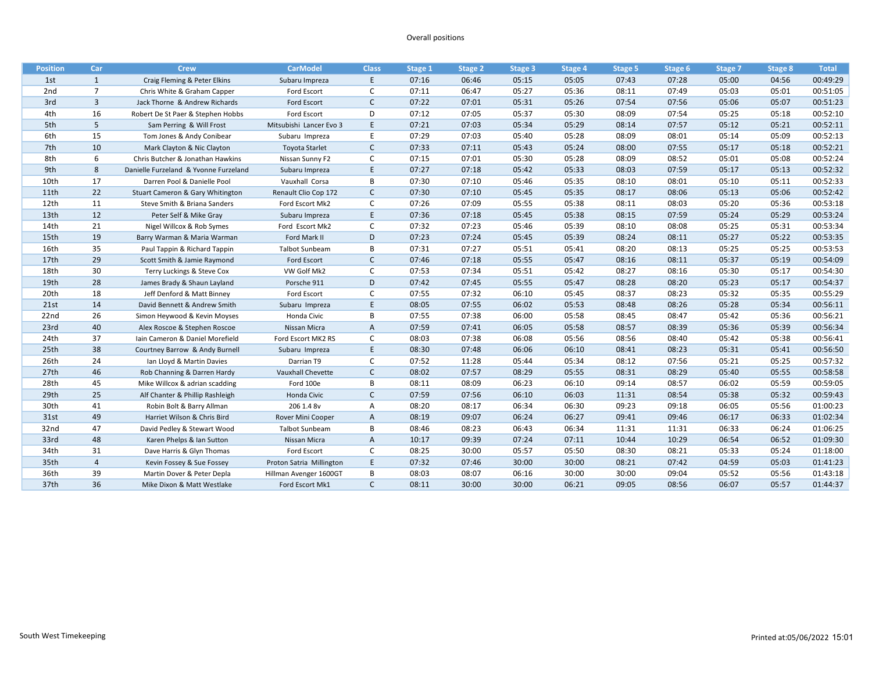#### Overall positions

| <b>Position</b>  | Car            | <b>Crew</b>                           | <b>CarModel</b>          | <b>Class</b> | Stage 1 | <b>Stage 2</b> | Stage 3 | Stage 4 | Stage 5 | Stage 6 | Stage 7 | Stage 8 | <b>Total</b> |
|------------------|----------------|---------------------------------------|--------------------------|--------------|---------|----------------|---------|---------|---------|---------|---------|---------|--------------|
| 1st              | 1              | Craig Fleming & Peter Elkins          | Subaru Impreza           | E            | 07:16   | 06:46          | 05:15   | 05:05   | 07:43   | 07:28   | 05:00   | 04:56   | 00:49:29     |
| 2nd              | $\overline{7}$ | Chris White & Graham Capper           | Ford Escort              | C            | 07:11   | 06:47          | 05:27   | 05:36   | 08:11   | 07:49   | 05:03   | 05:01   | 00:51:05     |
| 3rd              | $\overline{3}$ | Jack Thorne & Andrew Richards         | Ford Escort              | $\mathsf{C}$ | 07:22   | 07:01          | 05:31   | 05:26   | 07:54   | 07:56   | 05:06   | 05:07   | 00:51:23     |
| 4th              | 16             | Robert De St Paer & Stephen Hobbs     | Ford Escort              | D            | 07:12   | 07:05          | 05:37   | 05:30   | 08:09   | 07:54   | 05:25   | 05:18   | 00:52:10     |
| 5th              | 5              | Sam Perring & Will Frost              | Mitsubishi Lancer Evo 3  | E            | 07:21   | 07:03          | 05:34   | 05:29   | 08:14   | 07:57   | 05:12   | 05:21   | 00:52:11     |
| 6th              | 15             | Tom Jones & Andy Conibear             | Subaru Impreza           | E            | 07:29   | 07:03          | 05:40   | 05:28   | 08:09   | 08:01   | 05:14   | 05:09   | 00:52:13     |
| 7th              | 10             | Mark Clayton & Nic Clayton            | <b>Toyota Starlet</b>    | $\mathsf{C}$ | 07:33   | 07:11          | 05:43   | 05:24   | 08:00   | 07:55   | 05:17   | 05:18   | 00:52:21     |
| 8th              | 6              | Chris Butcher & Jonathan Hawkins      | Nissan Sunny F2          | C            | 07:15   | 07:01          | 05:30   | 05:28   | 08:09   | 08:52   | 05:01   | 05:08   | 00:52:24     |
| 9th              | 8              | Danielle Furzeland & Yvonne Furzeland | Subaru Impreza           | E            | 07:27   | 07:18          | 05:42   | 05:33   | 08:03   | 07:59   | 05:17   | 05:13   | 00:52:32     |
| 10th             | 17             | Darren Pool & Danielle Pool           | Vauxhall Corsa           | B            | 07:30   | 07:10          | 05:46   | 05:35   | 08:10   | 08:01   | 05:10   | 05:11   | 00:52:33     |
| 11th             | 22             | Stuart Cameron & Gary Whitington      | Renault Clio Cop 172     | $\mathsf{C}$ | 07:30   | 07:10          | 05:45   | 05:35   | 08:17   | 08:06   | 05:13   | 05:06   | 00:52:42     |
| 12th             | 11             | Steve Smith & Briana Sanders          | Ford Escort Mk2          | C            | 07:26   | 07:09          | 05:55   | 05:38   | 08:11   | 08:03   | 05:20   | 05:36   | 00:53:18     |
| 13th             | 12             | Peter Self & Mike Gray                | Subaru Impreza           | E            | 07:36   | 07:18          | 05:45   | 05:38   | 08:15   | 07:59   | 05:24   | 05:29   | 00:53:24     |
| 14th             | 21             | Nigel Willcox & Rob Symes             | Ford Escort Mk2          | C            | 07:32   | 07:23          | 05:46   | 05:39   | 08:10   | 08:08   | 05:25   | 05:31   | 00:53:34     |
| 15th             | 19             | Barry Warman & Maria Warman           | Ford Mark II             | D            | 07:23   | 07:24          | 05:45   | 05:39   | 08:24   | 08:11   | 05:27   | 05:22   | 00:53:35     |
| 16th             | 35             | Paul Tappin & Richard Tappin          | <b>Talbot Sunbeam</b>    | B            | 07:31   | 07:27          | 05:51   | 05:41   | 08:20   | 08:13   | 05:25   | 05:25   | 00:53:53     |
| 17th             | 29             | Scott Smith & Jamie Raymond           | Ford Escort              | $\mathsf{C}$ | 07:46   | 07:18          | 05:55   | 05:47   | 08:16   | 08:11   | 05:37   | 05:19   | 00:54:09     |
| 18th             | 30             | Terry Luckings & Steve Cox            | VW Golf Mk2              | C            | 07:53   | 07:34          | 05:51   | 05:42   | 08:27   | 08:16   | 05:30   | 05:17   | 00:54:30     |
| 19th             | 28             | James Brady & Shaun Layland           | Porsche 911              | D            | 07:42   | 07:45          | 05:55   | 05:47   | 08:28   | 08:20   | 05:23   | 05:17   | 00:54:37     |
| 20th             | 18             | Jeff Denford & Matt Binney            | Ford Escort              | C            | 07:55   | 07:32          | 06:10   | 05:45   | 08:37   | 08:23   | 05:32   | 05:35   | 00:55:29     |
| 21st             | 14             | David Bennett & Andrew Smith          | Subaru Impreza           | E            | 08:05   | 07:55          | 06:02   | 05:53   | 08:48   | 08:26   | 05:28   | 05:34   | 00:56:11     |
| 22 <sub>nd</sub> | 26             | Simon Heywood & Kevin Moyses          | Honda Civic              | B            | 07:55   | 07:38          | 06:00   | 05:58   | 08:45   | 08:47   | 05:42   | 05:36   | 00:56:21     |
| 23rd             | 40             | Alex Roscoe & Stephen Roscoe          | Nissan Micra             | A            | 07:59   | 07:41          | 06:05   | 05:58   | 08:57   | 08:39   | 05:36   | 05:39   | 00:56:34     |
| 24th             | 37             | Iain Cameron & Daniel Morefield       | Ford Escort MK2 RS       | C            | 08:03   | 07:38          | 06:08   | 05:56   | 08:56   | 08:40   | 05:42   | 05:38   | 00:56:41     |
| 25th             | 38             | Courtney Barrow & Andy Burnell        | Subaru Impreza           | E            | 08:30   | 07:48          | 06:06   | 06:10   | 08:41   | 08:23   | 05:31   | 05:41   | 00:56:50     |
| 26th             | 24             | Ian Lloyd & Martin Davies             | Darrian T9               | C            | 07:52   | 11:28          | 05:44   | 05:34   | 08:12   | 07:56   | 05:21   | 05:25   | 00:57:32     |
| 27th             | 46             | Rob Channing & Darren Hardy           | Vauxhall Chevette        | $\mathsf{C}$ | 08:02   | 07:57          | 08:29   | 05:55   | 08:31   | 08:29   | 05:40   | 05:55   | 00:58:58     |
| 28th             | 45             | Mike Willcox & adrian scadding        | Ford 100e                | B            | 08:11   | 08:09          | 06:23   | 06:10   | 09:14   | 08:57   | 06:02   | 05:59   | 00:59:05     |
| 29th             | 25             | Alf Chanter & Phillip Rashleigh       | Honda Civic              | $\mathsf{C}$ | 07:59   | 07:56          | 06:10   | 06:03   | 11:31   | 08:54   | 05:38   | 05:32   | 00:59:43     |
| 30th             | 41             | Robin Bolt & Barry Allman             | 206 1.4 8v               | Α            | 08:20   | 08:17          | 06:34   | 06:30   | 09:23   | 09:18   | 06:05   | 05:56   | 01:00:23     |
| 31st             | 49             | Harriet Wilson & Chris Bird           | Rover Mini Cooper        | A            | 08:19   | 09:07          | 06:24   | 06:27   | 09:41   | 09:46   | 06:17   | 06:33   | 01:02:34     |
| 32nd             | 47             | David Pedley & Stewart Wood           | <b>Talbot Sunbeam</b>    | В            | 08:46   | 08:23          | 06:43   | 06:34   | 11:31   | 11:31   | 06:33   | 06:24   | 01:06:25     |
| 33rd             | 48             | Karen Phelps & Ian Sutton             | Nissan Micra             | A            | 10:17   | 09:39          | 07:24   | 07:11   | 10:44   | 10:29   | 06:54   | 06:52   | 01:09:30     |
| 34th             | 31             | Dave Harris & Glyn Thomas             | Ford Escort              | C            | 08:25   | 30:00          | 05:57   | 05:50   | 08:30   | 08:21   | 05:33   | 05:24   | 01:18:00     |
| 35th             | $\overline{4}$ | Kevin Fossey & Sue Fossey             | Proton Satria Millington | E            | 07:32   | 07:46          | 30:00   | 30:00   | 08:21   | 07:42   | 04:59   | 05:03   | 01:41:23     |
| 36th             | 39             | Martin Dover & Peter Depla            | Hillman Avenger 1600GT   | В            | 08:03   | 08:07          | 06:16   | 30:00   | 30:00   | 09:04   | 05:52   | 05:56   | 01:43:18     |
| 37th             | 36             | Mike Dixon & Matt Westlake            | Ford Escort Mk1          | $\mathsf{C}$ | 08:11   | 30:00          | 30:00   | 06:21   | 09:05   | 08:56   | 06:07   | 05:57   | 01:44:37     |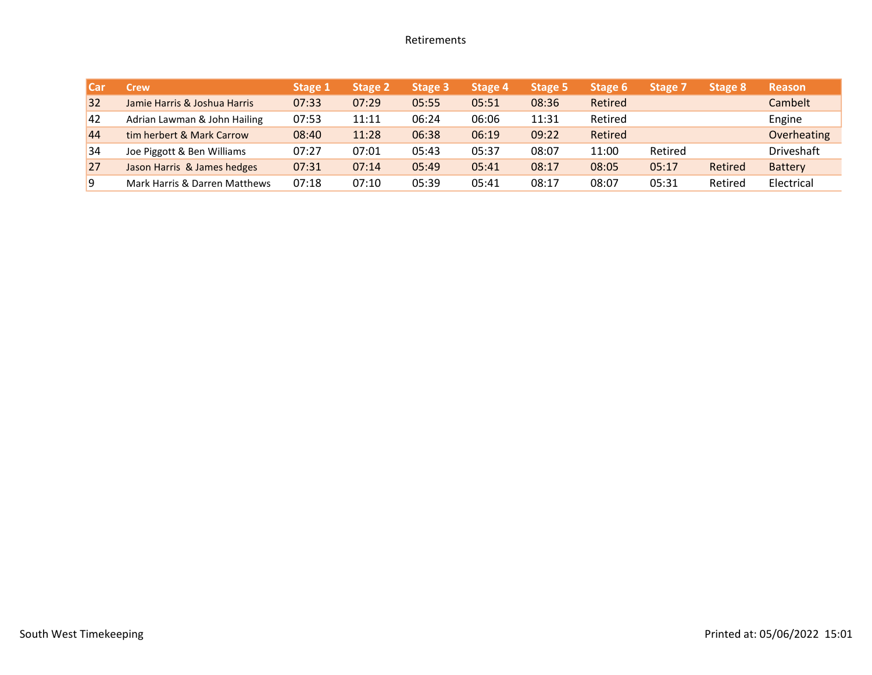#### Retirements

| I Carl | Crew                          | Stage 1 | <b>Stage 2</b> | Stage 3 | Stage 4 | <b>Stage 5</b> | Stage 6 | Stage 7 | Stage 8 | <b>Reason</b>     |
|--------|-------------------------------|---------|----------------|---------|---------|----------------|---------|---------|---------|-------------------|
| 32     | Jamie Harris & Joshua Harris  | 07:33   | 07:29          | 05:55   | 05:51   | 08:36          | Retired |         |         | Cambelt           |
| 42     | Adrian Lawman & John Hailing  | 07:53   | 11:11          | 06:24   | 06:06   | 11:31          | Retired |         |         | Engine            |
| 44     | tim herbert & Mark Carrow     | 08:40   | 11:28          | 06:38   | 06:19   | 09:22          | Retired |         |         | Overheating       |
| 34     | Joe Piggott & Ben Williams    | 07:27   | 07:01          | 05:43   | 05:37   | 08:07          | 11:00   | Retired |         | <b>Driveshaft</b> |
| 27     | Jason Harris & James hedges   | 07:31   | 07:14          | 05:49   | 05:41   | 08:17          | 08:05   | 05:17   | Retired | <b>Battery</b>    |
| 9      | Mark Harris & Darren Matthews | 07:18   | 07:10          | 05:39   | 05:41   | 08:17          | 08:07   | 05:31   | Retired | Electrical        |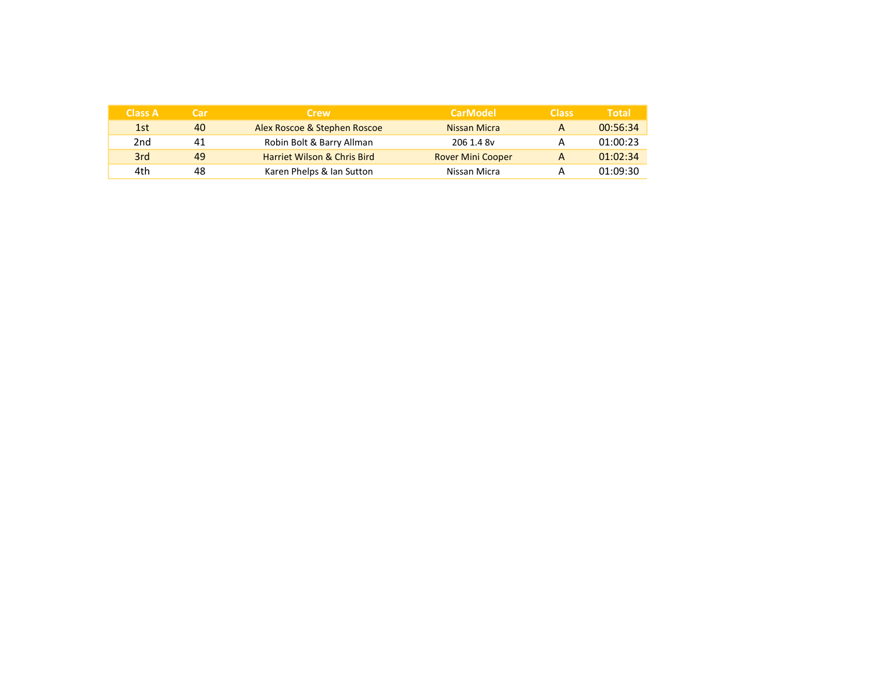| <b>Class A</b> | Car | <b>Crew</b>                            | <b>CarModel</b>          | <b>Class</b> | <b>Total</b> |
|----------------|-----|----------------------------------------|--------------------------|--------------|--------------|
| 1st            | 40  | Alex Roscoe & Stephen Roscoe           | Nissan Micra             |              | 00:56:34     |
| 2nd            | 41  | Robin Bolt & Barry Allman              | 206 1.4 8v               |              | 01:00:23     |
| 3rd            | 49  | <b>Harriet Wilson &amp; Chris Bird</b> | <b>Rover Mini Cooper</b> |              | 01:02:34     |
| 4th            | 48  | Karen Phelps & Ian Sutton              | Nissan Micra             |              | 01:09:30     |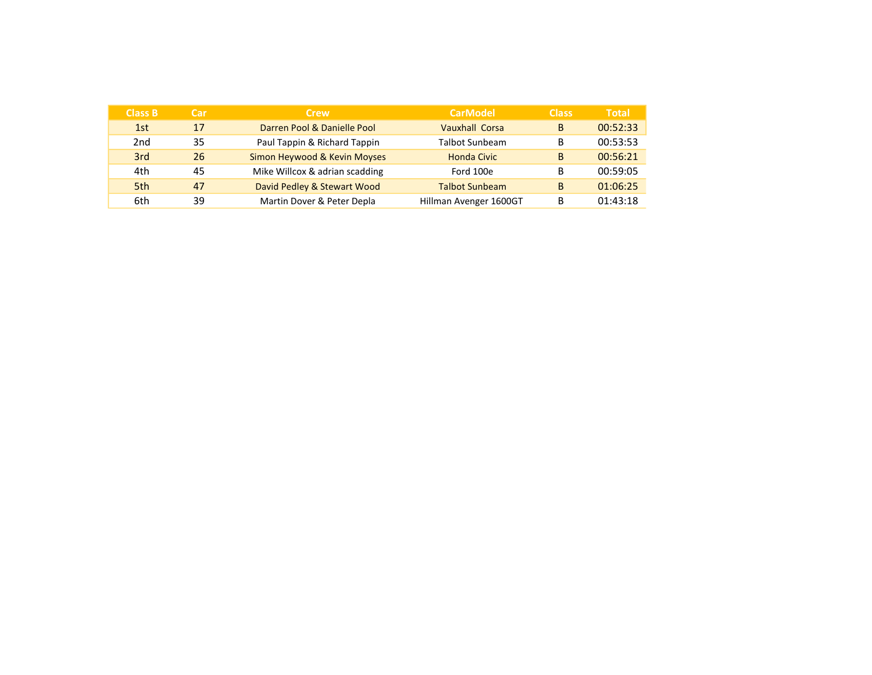| <b>Class B</b>  | Car | Crew /                         | <b>CarModel</b>        | <b>Class</b> | <b>Total</b> |
|-----------------|-----|--------------------------------|------------------------|--------------|--------------|
| 1st             | 17  | Darren Pool & Danielle Pool    | <b>Vauxhall Corsa</b>  | B            | 00:52:33     |
| 2 <sub>nd</sub> | 35  | Paul Tappin & Richard Tappin   | <b>Talbot Sunbeam</b>  | в            | 00:53:53     |
| 3rd             | 26  | Simon Heywood & Kevin Moyses   | <b>Honda Civic</b>     | B            | 00:56:21     |
| 4th             | 45  | Mike Willcox & adrian scadding | Ford 100e              | в            | 00:59:05     |
| 5th             | 47  | David Pedley & Stewart Wood    | <b>Talbot Sunbeam</b>  | B            | 01:06:25     |
| 6th             | 39  | Martin Dover & Peter Depla     | Hillman Avenger 1600GT | в            | 01:43:18     |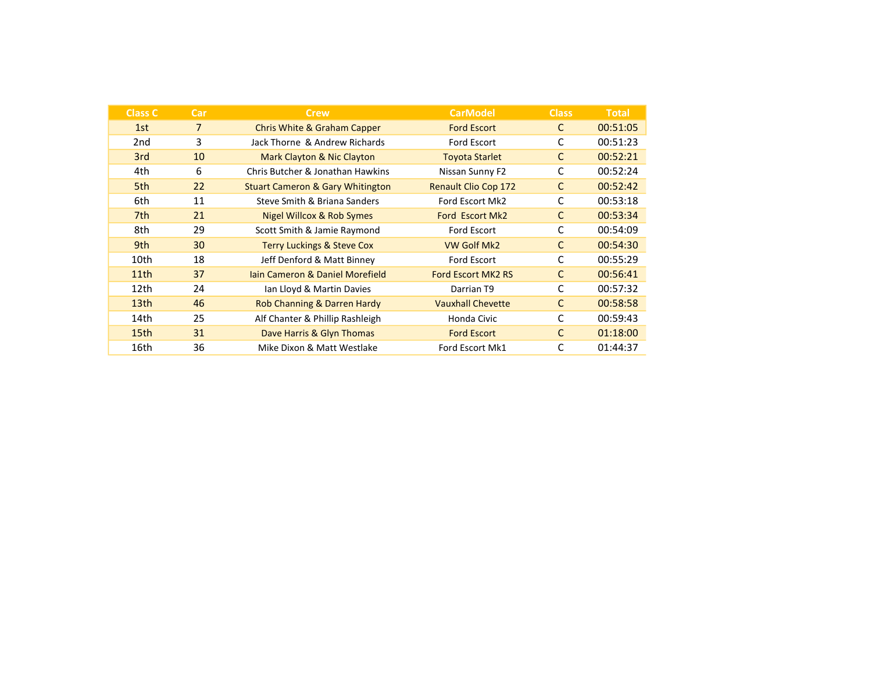| <b>Class C</b>   | Car            | <b>Crew</b>                                 | <b>CarModel</b>             | <b>Class</b> | <b>Total</b> |
|------------------|----------------|---------------------------------------------|-----------------------------|--------------|--------------|
| 1st              | $\overline{7}$ | <b>Chris White &amp; Graham Capper</b>      | <b>Ford Escort</b>          | С            | 00:51:05     |
| 2nd              | 3              | Jack Thorne & Andrew Richards               | Ford Escort                 |              | 00:51:23     |
| 3rd              | 10             | Mark Clayton & Nic Clayton                  | <b>Toyota Starlet</b>       | C            | 00:52:21     |
| 4th              | 6              | Chris Butcher & Jonathan Hawkins            | Nissan Sunny F2             | C            | 00:52:24     |
| 5th              | 22             | <b>Stuart Cameron &amp; Gary Whitington</b> | <b>Renault Clio Cop 172</b> | C            | 00:52:42     |
| 6th              | 11             | Steve Smith & Briana Sanders                | Ford Escort Mk2             | C            | 00:53:18     |
| 7th              | 21             | Nigel Willcox & Rob Symes                   | Ford Escort Mk2             | С            | 00:53:34     |
| 8th              | 29             | Scott Smith & Jamie Raymond                 | Ford Escort                 | C            | 00:54:09     |
| 9th              | 30             | <b>Terry Luckings &amp; Steve Cox</b>       | <b>VW Golf Mk2</b>          | C            | 00:54:30     |
| 10th             | 18             | Jeff Denford & Matt Binney                  | Ford Escort                 | C            | 00:55:29     |
| 11th             | 37             | Jain Cameron & Daniel Morefield             | <b>Ford Escort MK2 RS</b>   | С            | 00:56:41     |
| 12th             | 24             | Ian Lloyd & Martin Davies                   | Darrian T9                  | C            | 00:57:32     |
| 13 <sub>th</sub> | 46             | Rob Channing & Darren Hardy                 | <b>Vauxhall Chevette</b>    | C            | 00:58:58     |
| 14th             | 25             | Alf Chanter & Phillip Rashleigh             | Honda Civic                 | С            | 00:59:43     |
| 15 <sub>th</sub> | 31             | Dave Harris & Glyn Thomas                   | <b>Ford Escort</b>          | C            | 01:18:00     |
| 16th             | 36             | Mike Dixon & Matt Westlake                  | Ford Escort Mk1             | C            | 01:44:37     |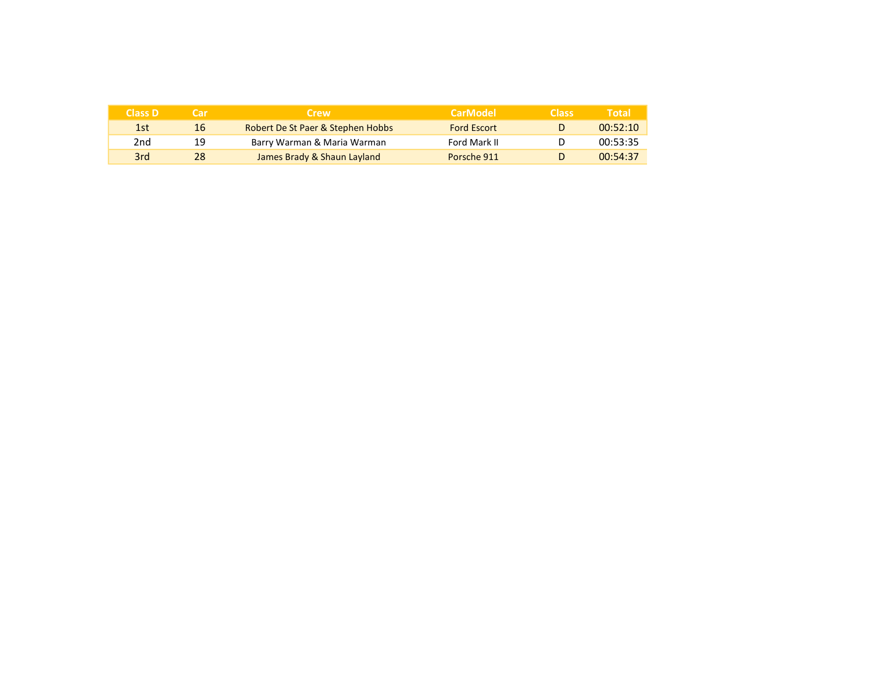| <b>Class D</b> | l ar | <b>Crew</b>                       | <b>CarModel</b>    | <b>Class</b> | Total    |
|----------------|------|-----------------------------------|--------------------|--------------|----------|
| 1st            | 16   | Robert De St Paer & Stephen Hobbs | <b>Ford Escort</b> |              | 00:52:10 |
| 2nd            | 19   | Barry Warman & Maria Warman       | Ford Mark II       |              | 00:53:35 |
| 3rd            | 28   | James Brady & Shaun Layland       | Porsche 911        |              | 00:54:37 |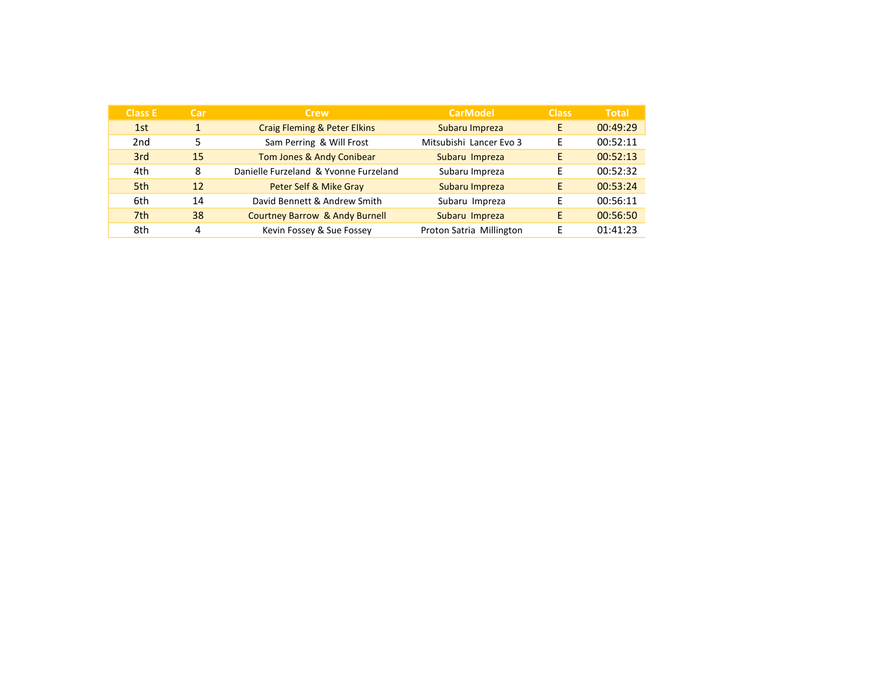| <b>Class E</b>  | Car            | <b>Crew</b>                               | <b>CarModel</b>          | <b>Class</b> | <b>Total</b> |
|-----------------|----------------|-------------------------------------------|--------------------------|--------------|--------------|
| 1st             | $\overline{1}$ | <b>Craig Fleming &amp; Peter Elkins</b>   | Subaru Impreza           | E.           | 00:49:29     |
| 2 <sub>nd</sub> | 5              | Sam Perring & Will Frost                  | Mitsubishi Lancer Evo 3  | Е            | 00:52:11     |
| 3rd             | 15             | Tom Jones & Andy Conibear                 | Subaru Impreza           | E            | 00:52:13     |
| 4th             | 8              | Danielle Furzeland & Yvonne Furzeland     | Subaru Impreza           | F            | 00:52:32     |
| 5th             | 12             | Peter Self & Mike Gray                    | Subaru Impreza           | F            | 00:53:24     |
| 6th             | 14             | David Bennett & Andrew Smith              | Subaru Impreza           | F            | 00:56:11     |
| 7th             | 38             | <b>Courtney Barrow &amp; Andy Burnell</b> | Subaru Impreza           | E            | 00:56:50     |
| 8th             | 4              | Kevin Fossey & Sue Fossey                 | Proton Satria Millington |              | 01:41:23     |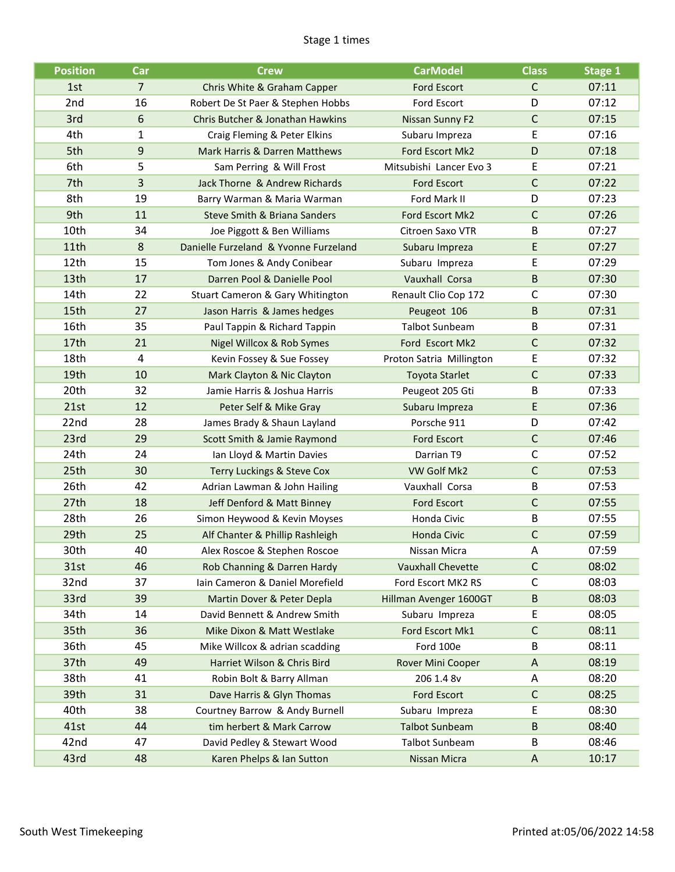#### Stage 1 times

| <b>Position</b> | Car            | <b>Crew</b>                           | <b>CarModel</b>          | <b>Class</b> | <b>Stage 1</b> |
|-----------------|----------------|---------------------------------------|--------------------------|--------------|----------------|
| 1st             | $\overline{7}$ | Chris White & Graham Capper           | <b>Ford Escort</b>       | C            | 07:11          |
| 2nd             | 16             | Robert De St Paer & Stephen Hobbs     | Ford Escort              | D            | 07:12          |
| 3rd             | 6              | Chris Butcher & Jonathan Hawkins      | Nissan Sunny F2          | $\mathsf C$  | 07:15          |
| 4th             | 1              | Craig Fleming & Peter Elkins          | Subaru Impreza           | E            | 07:16          |
| 5th             | 9              | Mark Harris & Darren Matthews         | Ford Escort Mk2          | D            | 07:18          |
| 6th             | 5              | Sam Perring & Will Frost              | Mitsubishi Lancer Evo 3  | E            | 07:21          |
| 7th             | 3              | Jack Thorne & Andrew Richards         | <b>Ford Escort</b>       | $\mathsf C$  | 07:22          |
| 8th             | 19             | Barry Warman & Maria Warman           | Ford Mark II             | D            | 07:23          |
| 9th             | 11             | Steve Smith & Briana Sanders          | Ford Escort Mk2          | $\mathsf C$  | 07:26          |
| 10th            | 34             | Joe Piggott & Ben Williams            | Citroen Saxo VTR         | B            | 07:27          |
| 11th            | 8              | Danielle Furzeland & Yvonne Furzeland | Subaru Impreza           | E            | 07:27          |
| 12th            | 15             | Tom Jones & Andy Conibear             | Subaru Impreza           | E            | 07:29          |
| 13th            | 17             | Darren Pool & Danielle Pool           | Vauxhall Corsa           | $\sf B$      | 07:30          |
| 14th            | 22             | Stuart Cameron & Gary Whitington      | Renault Clio Cop 172     | C            | 07:30          |
| 15th            | 27             | Jason Harris & James hedges           | Peugeot 106              | B            | 07:31          |
| 16th            | 35             | Paul Tappin & Richard Tappin          | <b>Talbot Sunbeam</b>    | B            | 07:31          |
| 17th            | 21             | Nigel Willcox & Rob Symes             | Ford Escort Mk2          | C            | 07:32          |
| 18th            | 4              | Kevin Fossey & Sue Fossey             | Proton Satria Millington | E            | 07:32          |
| 19th            | 10             | Mark Clayton & Nic Clayton            | <b>Toyota Starlet</b>    | $\mathsf{C}$ | 07:33          |
| 20th            | 32             | Jamie Harris & Joshua Harris          | Peugeot 205 Gti          | B            | 07:33          |
| 21st            | 12             | Peter Self & Mike Gray                | Subaru Impreza           | E            | 07:36          |
| 22nd            | 28             | James Brady & Shaun Layland           | Porsche 911              | D            | 07:42          |
| 23rd            | 29             | Scott Smith & Jamie Raymond           | <b>Ford Escort</b>       | $\mathsf{C}$ | 07:46          |
| 24th            | 24             | Ian Lloyd & Martin Davies             | Darrian T9               | C            | 07:52          |
| 25th            | 30             | Terry Luckings & Steve Cox            | VW Golf Mk2              | $\mathsf C$  | 07:53          |
| 26th            | 42             | Adrian Lawman & John Hailing          | Vauxhall Corsa           | B            | 07:53          |
| 27th            | 18             | Jeff Denford & Matt Binney            | <b>Ford Escort</b>       | $\mathsf C$  | 07:55          |
| 28th            | 26             | Simon Heywood & Kevin Moyses          | Honda Civic              | B            | 07:55          |
| 29th            | 25             | Alf Chanter & Phillip Rashleigh       | Honda Civic              | C            | 07:59          |
| 30th            | 40             | Alex Roscoe & Stephen Roscoe          | Nissan Micra             | Α            | 07:59          |
| 31st            | 46             | Rob Channing & Darren Hardy           | <b>Vauxhall Chevette</b> | $\mathsf C$  | 08:02          |
| 32nd            | 37             | Iain Cameron & Daniel Morefield       | Ford Escort MK2 RS       | C            | 08:03          |
| 33rd            | 39             | Martin Dover & Peter Depla            | Hillman Avenger 1600GT   | B            | 08:03          |
| 34th            | 14             | David Bennett & Andrew Smith          | Subaru Impreza           | E            | 08:05          |
| 35th            | 36             | Mike Dixon & Matt Westlake            | Ford Escort Mk1          | $\mathsf C$  | 08:11          |
| 36th            | 45             | Mike Willcox & adrian scadding        | Ford 100e                | B            | 08:11          |
| 37th            | 49             | Harriet Wilson & Chris Bird           | Rover Mini Cooper        | A            | 08:19          |
| 38th            | 41             | Robin Bolt & Barry Allman             | 206 1.4 8v               | A            | 08:20          |
| 39th            | 31             | Dave Harris & Glyn Thomas             | Ford Escort              | $\mathsf C$  | 08:25          |
| 40th            | 38             | Courtney Barrow & Andy Burnell        | Subaru Impreza           | E            | 08:30          |
| 41st            | 44             | tim herbert & Mark Carrow             | <b>Talbot Sunbeam</b>    | $\sf B$      | 08:40          |
| 42nd            | 47             | David Pedley & Stewart Wood           | <b>Talbot Sunbeam</b>    | B            | 08:46          |
| 43rd            | 48             | Karen Phelps & Ian Sutton             | Nissan Micra             | A            | 10:17          |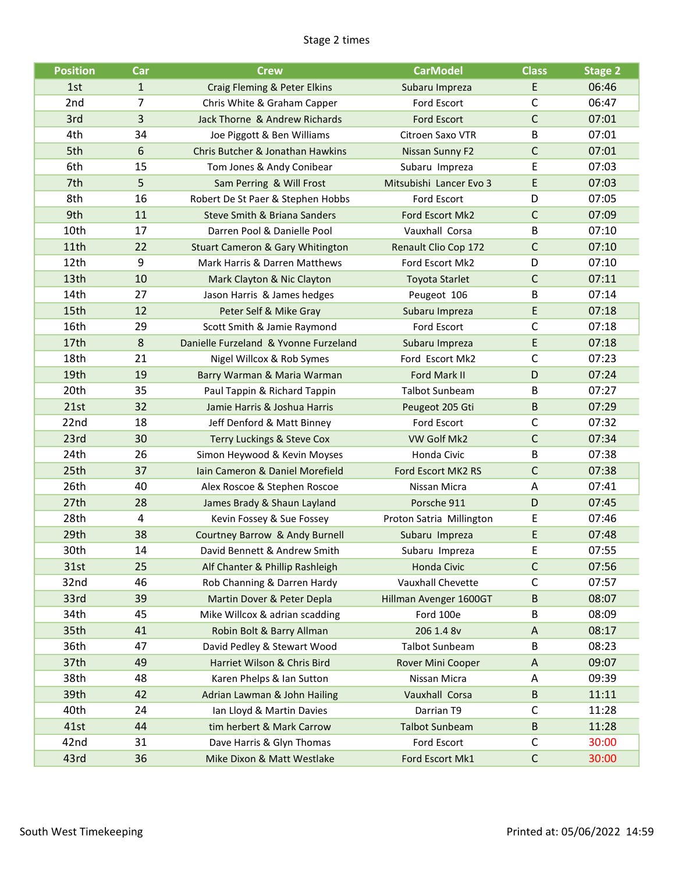#### Stage 2 times

| <b>Position</b> | Car          | <b>Crew</b>                                 | <b>CarModel</b>          | <b>Class</b> | <b>Stage 2</b> |
|-----------------|--------------|---------------------------------------------|--------------------------|--------------|----------------|
| 1st             | $\mathbf{1}$ | Craig Fleming & Peter Elkins                | Subaru Impreza           | E            | 06:46          |
| 2nd             | 7            | Chris White & Graham Capper                 | <b>Ford Escort</b>       | $\mathsf{C}$ | 06:47          |
| 3rd             | 3            | Jack Thorne & Andrew Richards               | <b>Ford Escort</b>       | $\mathsf C$  | 07:01          |
| 4th             | 34           | Joe Piggott & Ben Williams                  | Citroen Saxo VTR         | B            | 07:01          |
| 5th             | 6            | Chris Butcher & Jonathan Hawkins            | Nissan Sunny F2          | $\mathsf{C}$ | 07:01          |
| 6th             | 15           | Tom Jones & Andy Conibear                   | Subaru Impreza           | E            | 07:03          |
| 7th             | 5            | Sam Perring & Will Frost                    | Mitsubishi Lancer Evo 3  | E            | 07:03          |
| 8th             | 16           | Robert De St Paer & Stephen Hobbs           | Ford Escort              | D            | 07:05          |
| 9th             | 11           | Steve Smith & Briana Sanders                | Ford Escort Mk2          | $\mathsf{C}$ | 07:09          |
| 10th            | 17           | Darren Pool & Danielle Pool                 | Vauxhall Corsa           | B            | 07:10          |
| 11th            | 22           | <b>Stuart Cameron &amp; Gary Whitington</b> | Renault Clio Cop 172     | $\mathsf C$  | 07:10          |
| 12th            | 9            | Mark Harris & Darren Matthews               | Ford Escort Mk2          | D            | 07:10          |
| 13th            | 10           | Mark Clayton & Nic Clayton                  | <b>Toyota Starlet</b>    | $\mathsf C$  | 07:11          |
| 14th            | 27           | Jason Harris & James hedges                 | Peugeot 106              | B            | 07:14          |
| 15th            | 12           | Peter Self & Mike Gray                      | Subaru Impreza           | E            | 07:18          |
| 16th            | 29           | Scott Smith & Jamie Raymond                 | Ford Escort              | $\mathsf C$  | 07:18          |
| 17th            | 8            | Danielle Furzeland & Yvonne Furzeland       | Subaru Impreza           | E            | 07:18          |
| 18th            | 21           | Nigel Willcox & Rob Symes                   | Ford Escort Mk2          | $\mathsf{C}$ | 07:23          |
| 19th            | 19           | Barry Warman & Maria Warman                 | Ford Mark II             | D            | 07:24          |
| 20th            | 35           | Paul Tappin & Richard Tappin                | <b>Talbot Sunbeam</b>    | B            | 07:27          |
| 21st            | 32           | Jamie Harris & Joshua Harris                | Peugeot 205 Gti          | $\sf B$      | 07:29          |
| 22nd            | 18           | Jeff Denford & Matt Binney                  | Ford Escort              | C            | 07:32          |
| 23rd            | 30           | Terry Luckings & Steve Cox                  | VW Golf Mk2              | $\mathsf C$  | 07:34          |
| 24th            | 26           | Simon Heywood & Kevin Moyses                | Honda Civic              | B            | 07:38          |
| 25th            | 37           | Iain Cameron & Daniel Morefield             | Ford Escort MK2 RS       | $\mathsf{C}$ | 07:38          |
| 26th            | 40           | Alex Roscoe & Stephen Roscoe                | Nissan Micra             | A            | 07:41          |
| 27th            | 28           | James Brady & Shaun Layland                 | Porsche 911              | D            | 07:45          |
| 28th            | 4            | Kevin Fossey & Sue Fossey                   | Proton Satria Millington | Ε            | 07:46          |
| 29th            | 38           | Courtney Barrow & Andy Burnell              | Subaru Impreza           | E            | 07:48          |
| 30th            | 14           | David Bennett & Andrew Smith                | Subaru Impreza           | E            | 07:55          |
| 31st            | 25           | Alf Chanter & Phillip Rashleigh             | Honda Civic              | $\mathsf C$  | 07:56          |
| 32nd            | 46           | Rob Channing & Darren Hardy                 | Vauxhall Chevette        | C            | 07:57          |
| 33rd            | 39           | Martin Dover & Peter Depla                  | Hillman Avenger 1600GT   | $\sf B$      | 08:07          |
| 34th            | 45           | Mike Willcox & adrian scadding              | Ford 100e                | B            | 08:09          |
| 35th            | 41           | Robin Bolt & Barry Allman                   | 206 1.4 8v               | A            | 08:17          |
| 36th            | 47           | David Pedley & Stewart Wood                 | <b>Talbot Sunbeam</b>    | B            | 08:23          |
| 37th            | 49           | Harriet Wilson & Chris Bird                 | Rover Mini Cooper        | A            | 09:07          |
| 38th            | 48           | Karen Phelps & Ian Sutton                   | Nissan Micra             | Α            | 09:39          |
| 39th            | 42           | Adrian Lawman & John Hailing                | Vauxhall Corsa           | $\sf B$      | 11:11          |
| 40th            | 24           | Ian Lloyd & Martin Davies                   | Darrian T9               | C            | 11:28          |
| 41st            | 44           | tim herbert & Mark Carrow                   | <b>Talbot Sunbeam</b>    | $\sf B$      | 11:28          |
| 42nd            | 31           | Dave Harris & Glyn Thomas                   | Ford Escort              | $\mathsf C$  | 30:00          |
| 43rd            | 36           | Mike Dixon & Matt Westlake                  | Ford Escort Mk1          | $\mathsf C$  | 30:00          |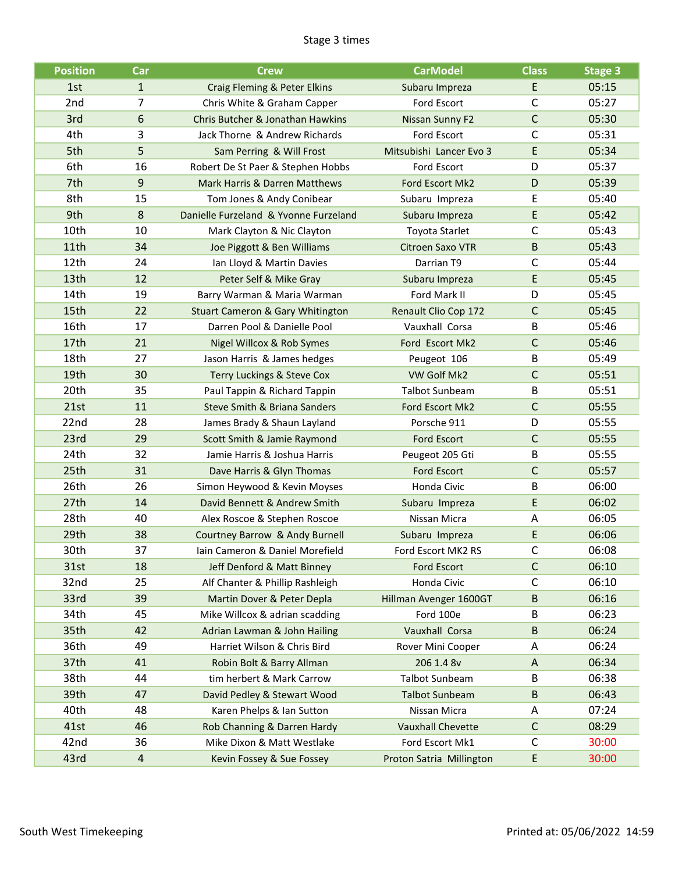#### Stage 3 times

| <b>Position</b>  | Car          | <b>Crew</b>                                 | <b>CarModel</b>          | <b>Class</b> | <b>Stage 3</b> |
|------------------|--------------|---------------------------------------------|--------------------------|--------------|----------------|
| 1st              | $\mathbf{1}$ | Craig Fleming & Peter Elkins                | Subaru Impreza           | E            | 05:15          |
| 2nd              | 7            | Chris White & Graham Capper                 | Ford Escort              | $\mathsf{C}$ | 05:27          |
| 3rd              | 6            | Chris Butcher & Jonathan Hawkins            | Nissan Sunny F2          | $\mathsf C$  | 05:30          |
| 4th              | 3            | Jack Thorne & Andrew Richards               | Ford Escort              | $\mathsf C$  | 05:31          |
| 5th              | 5            | Sam Perring & Will Frost                    | Mitsubishi Lancer Evo 3  | E            | 05:34          |
| 6th              | 16           | Robert De St Paer & Stephen Hobbs           | Ford Escort              | D            | 05:37          |
| 7th              | 9            | Mark Harris & Darren Matthews               | Ford Escort Mk2          | D            | 05:39          |
| 8th              | 15           | Tom Jones & Andy Conibear                   | Subaru Impreza           | E            | 05:40          |
| 9th              | 8            | Danielle Furzeland & Yvonne Furzeland       | Subaru Impreza           | E            | 05:42          |
| 10th             | 10           | Mark Clayton & Nic Clayton                  | Toyota Starlet           | $\mathsf{C}$ | 05:43          |
| 11th             | 34           | Joe Piggott & Ben Williams                  | <b>Citroen Saxo VTR</b>  | $\sf B$      | 05:43          |
| 12 <sub>th</sub> | 24           | Ian Lloyd & Martin Davies                   | Darrian T9               | $\mathsf{C}$ | 05:44          |
| 13th             | 12           | Peter Self & Mike Gray                      | Subaru Impreza           | E            | 05:45          |
| 14th             | 19           | Barry Warman & Maria Warman                 | Ford Mark II             | D            | 05:45          |
| 15th             | 22           | <b>Stuart Cameron &amp; Gary Whitington</b> | Renault Clio Cop 172     | $\mathsf C$  | 05:45          |
| 16th             | 17           | Darren Pool & Danielle Pool                 | Vauxhall Corsa           | B            | 05:46          |
| 17th             | 21           | Nigel Willcox & Rob Symes                   | Ford Escort Mk2          | $\mathsf C$  | 05:46          |
| 18th             | 27           | Jason Harris & James hedges                 | Peugeot 106              | B            | 05:49          |
| 19th             | 30           | <b>Terry Luckings &amp; Steve Cox</b>       | VW Golf Mk2              | $\mathsf{C}$ | 05:51          |
| 20th             | 35           | Paul Tappin & Richard Tappin                | <b>Talbot Sunbeam</b>    | B            | 05:51          |
| 21st             | 11           | Steve Smith & Briana Sanders                | Ford Escort Mk2          | $\mathsf{C}$ | 05:55          |
| 22nd             | 28           | James Brady & Shaun Layland                 | Porsche 911              | D            | 05:55          |
| 23rd             | 29           | Scott Smith & Jamie Raymond                 | <b>Ford Escort</b>       | $\mathsf{C}$ | 05:55          |
| 24th             | 32           | Jamie Harris & Joshua Harris                | Peugeot 205 Gti          | B            | 05:55          |
| 25th             | 31           | Dave Harris & Glyn Thomas                   | <b>Ford Escort</b>       | $\mathsf C$  | 05:57          |
| 26th             | 26           | Simon Heywood & Kevin Moyses                | Honda Civic              | B            | 06:00          |
| 27th             | 14           | David Bennett & Andrew Smith                | Subaru Impreza           | E            | 06:02          |
| 28th             | 40           | Alex Roscoe & Stephen Roscoe                | Nissan Micra             | Α            | 06:05          |
| 29th             | 38           | Courtney Barrow & Andy Burnell              | Subaru Impreza           | E            | 06:06          |
| 30th             | 37           | Iain Cameron & Daniel Morefield             | Ford Escort MK2 RS       | $\mathsf{C}$ | 06:08          |
| 31st             | 18           | Jeff Denford & Matt Binney                  | <b>Ford Escort</b>       | $\mathsf C$  | 06:10          |
| 32nd             | 25           | Alf Chanter & Phillip Rashleigh             | Honda Civic              | C            | 06:10          |
| 33rd             | 39           | Martin Dover & Peter Depla                  | Hillman Avenger 1600GT   | $\sf B$      | 06:16          |
| 34th             | 45           | Mike Willcox & adrian scadding              | Ford 100e                | В            | 06:23          |
| 35th             | 42           | Adrian Lawman & John Hailing                | Vauxhall Corsa           | $\sf B$      | 06:24          |
| 36th             | 49           | Harriet Wilson & Chris Bird                 | Rover Mini Cooper        | A            | 06:24          |
| 37th             | 41           | Robin Bolt & Barry Allman                   | 206 1.4 8v               | A            | 06:34          |
| 38th             | 44           | tim herbert & Mark Carrow                   | <b>Talbot Sunbeam</b>    | B            | 06:38          |
| 39th             | 47           | David Pedley & Stewart Wood                 | <b>Talbot Sunbeam</b>    | $\sf B$      | 06:43          |
| 40th             | 48           | Karen Phelps & Ian Sutton                   | Nissan Micra             | A            | 07:24          |
| 41st             | 46           | Rob Channing & Darren Hardy                 | <b>Vauxhall Chevette</b> | $\mathsf C$  | 08:29          |
| 42nd             | 36           | Mike Dixon & Matt Westlake                  | Ford Escort Mk1          | C            | 30:00          |
| 43rd             | 4            | Kevin Fossey & Sue Fossey                   | Proton Satria Millington | E            | 30:00          |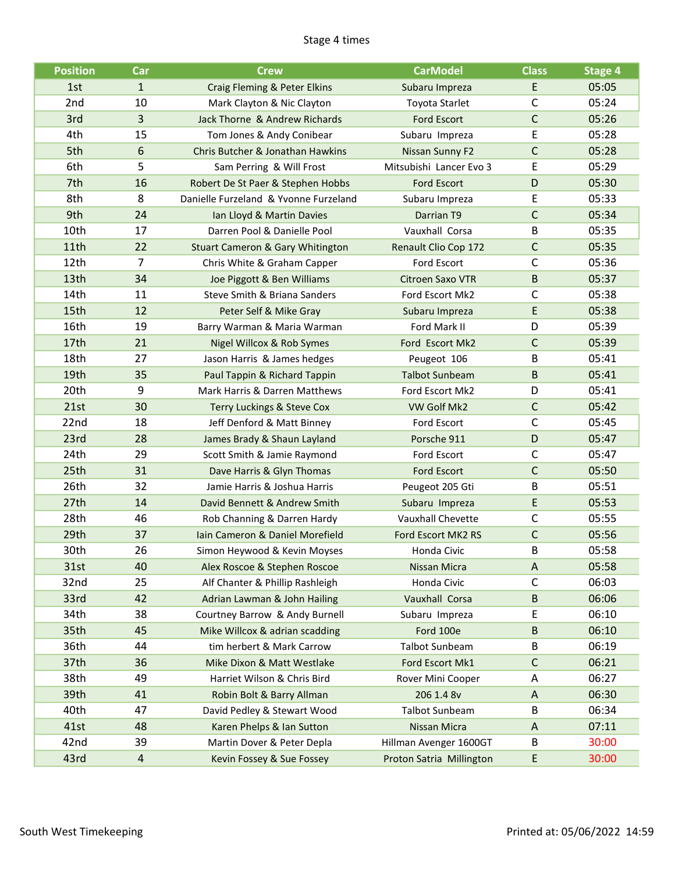#### Stage 4 times

| <b>Position</b>  | Car          | <b>Crew</b>                                 | <b>CarModel</b>          | <b>Class</b> | <b>Stage 4</b> |
|------------------|--------------|---------------------------------------------|--------------------------|--------------|----------------|
| 1st              | $\mathbf{1}$ | Craig Fleming & Peter Elkins                | Subaru Impreza           | E            | 05:05          |
| 2nd              | 10           | Mark Clayton & Nic Clayton                  | Toyota Starlet           | $\mathsf{C}$ | 05:24          |
| 3rd              | 3            | Jack Thorne & Andrew Richards               | <b>Ford Escort</b>       | $\mathsf C$  | 05:26          |
| 4th              | 15           | Tom Jones & Andy Conibear                   | Subaru Impreza           | E            | 05:28          |
| 5th              | 6            | Chris Butcher & Jonathan Hawkins            | Nissan Sunny F2          | $\mathsf{C}$ | 05:28          |
| 6th              | 5            | Sam Perring & Will Frost                    | Mitsubishi Lancer Evo 3  | E            | 05:29          |
| 7th              | 16           | Robert De St Paer & Stephen Hobbs           | Ford Escort              | D            | 05:30          |
| 8th              | 8            | Danielle Furzeland & Yvonne Furzeland       | Subaru Impreza           | E            | 05:33          |
| 9th              | 24           | Ian Lloyd & Martin Davies                   | Darrian T9               | $\mathsf C$  | 05:34          |
| 10th             | 17           | Darren Pool & Danielle Pool                 | Vauxhall Corsa           | B            | 05:35          |
| 11th             | 22           | <b>Stuart Cameron &amp; Gary Whitington</b> | Renault Clio Cop 172     | $\mathsf C$  | 05:35          |
| 12 <sub>th</sub> | 7            | Chris White & Graham Capper                 | Ford Escort              | $\mathsf{C}$ | 05:36          |
| 13th             | 34           | Joe Piggott & Ben Williams                  | <b>Citroen Saxo VTR</b>  | $\sf B$      | 05:37          |
| 14th             | 11           | Steve Smith & Briana Sanders                | Ford Escort Mk2          | C            | 05:38          |
| 15th             | 12           | Peter Self & Mike Gray                      | Subaru Impreza           | E            | 05:38          |
| 16th             | 19           | Barry Warman & Maria Warman                 | Ford Mark II             | D            | 05:39          |
| 17th             | 21           | Nigel Willcox & Rob Symes                   | Ford Escort Mk2          | $\mathsf C$  | 05:39          |
| 18th             | 27           | Jason Harris & James hedges                 | Peugeot 106              | B            | 05:41          |
| 19th             | 35           | Paul Tappin & Richard Tappin                | <b>Talbot Sunbeam</b>    | B            | 05:41          |
| 20th             | 9            | Mark Harris & Darren Matthews               | Ford Escort Mk2          | D            | 05:41          |
| 21st             | 30           | Terry Luckings & Steve Cox                  | VW Golf Mk2              | $\mathsf{C}$ | 05:42          |
| 22nd             | 18           | Jeff Denford & Matt Binney                  | Ford Escort              | $\mathsf{C}$ | 05:45          |
| 23rd             | 28           | James Brady & Shaun Layland                 | Porsche 911              | D            | 05:47          |
| 24th             | 29           | Scott Smith & Jamie Raymond                 | Ford Escort              | $\mathsf C$  | 05:47          |
| 25th             | 31           | Dave Harris & Glyn Thomas                   | <b>Ford Escort</b>       | $\mathsf C$  | 05:50          |
| 26th             | 32           | Jamie Harris & Joshua Harris                | Peugeot 205 Gti          | B            | 05:51          |
| 27th             | 14           | David Bennett & Andrew Smith                | Subaru Impreza           | E            | 05:53          |
| 28th             | 46           | Rob Channing & Darren Hardy                 | Vauxhall Chevette        | $\mathsf{C}$ | 05:55          |
| 29th             | 37           | Iain Cameron & Daniel Morefield             | Ford Escort MK2 RS       | $\mathsf C$  | 05:56          |
| 30th             | 26           | Simon Heywood & Kevin Moyses                | Honda Civic              | B            | 05:58          |
| 31st             | 40           | Alex Roscoe & Stephen Roscoe                | Nissan Micra             | A            | 05:58          |
| 32nd             | 25           | Alf Chanter & Phillip Rashleigh             | Honda Civic              | C            | 06:03          |
| 33rd             | 42           | Adrian Lawman & John Hailing                | Vauxhall Corsa           | $\sf B$      | 06:06          |
| 34th             | 38           | Courtney Barrow & Andy Burnell              | Subaru Impreza           | E            | 06:10          |
| 35th             | 45           | Mike Willcox & adrian scadding              | Ford 100e                | $\sf B$      | 06:10          |
| 36th             | 44           | tim herbert & Mark Carrow                   | Talbot Sunbeam           | B            | 06:19          |
| 37th             | 36           | Mike Dixon & Matt Westlake                  | Ford Escort Mk1          | $\mathsf C$  | 06:21          |
| 38th             | 49           | Harriet Wilson & Chris Bird                 | Rover Mini Cooper        | Α            | 06:27          |
| 39th             | 41           | Robin Bolt & Barry Allman                   | 206 1.4 8v               | A            | 06:30          |
| 40th             | 47           | David Pedley & Stewart Wood                 | <b>Talbot Sunbeam</b>    | B            | 06:34          |
| 41st             | 48           | Karen Phelps & Ian Sutton                   | Nissan Micra             | A            | 07:11          |
| 42nd             | 39           | Martin Dover & Peter Depla                  | Hillman Avenger 1600GT   | B            | 30:00          |
| 43rd             | 4            | Kevin Fossey & Sue Fossey                   | Proton Satria Millington | E            | 30:00          |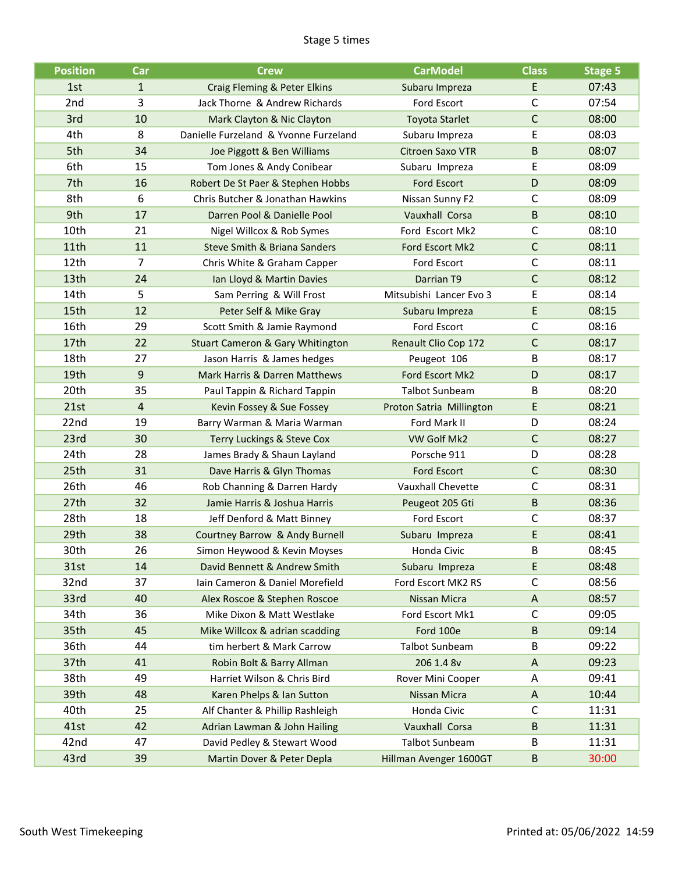#### Stage 5 times

| <b>Position</b>  | Car          | <b>Crew</b>                                    | <b>CarModel</b>          | <b>Class</b> | <b>Stage 5</b> |
|------------------|--------------|------------------------------------------------|--------------------------|--------------|----------------|
| 1st              | $\mathbf{1}$ | Craig Fleming & Peter Elkins                   | Subaru Impreza           | E            | 07:43          |
| 2nd              | 3            | Jack Thorne & Andrew Richards                  | Ford Escort              | C            | 07:54          |
| 3rd              | 10           | Mark Clayton & Nic Clayton                     | <b>Toyota Starlet</b>    | $\mathsf C$  | 08:00          |
| 4th              | 8            | Danielle Furzeland & Yvonne Furzeland          | Subaru Impreza           | E            | 08:03          |
| 5th              | 34           | Joe Piggott & Ben Williams                     | <b>Citroen Saxo VTR</b>  | $\sf B$      | 08:07          |
| 6th              | 15           | Tom Jones & Andy Conibear                      | Subaru Impreza           | E            | 08:09          |
| 7th              | 16           | Robert De St Paer & Stephen Hobbs              | Ford Escort              | D            | 08:09          |
| 8th              | 6            | Chris Butcher & Jonathan Hawkins               | Nissan Sunny F2          | $\mathsf{C}$ | 08:09          |
| 9th              | 17           | Darren Pool & Danielle Pool                    | Vauxhall Corsa           | B            | 08:10          |
| 10th             | 21           | Nigel Willcox & Rob Symes                      | Ford Escort Mk2          | $\mathsf C$  | 08:10          |
| 11th             | 11           | Steve Smith & Briana Sanders                   | Ford Escort Mk2          | $\mathsf C$  | 08:11          |
| 12 <sub>th</sub> | 7            | Chris White & Graham Capper                    | Ford Escort              | $\mathsf{C}$ | 08:11          |
| 13th             | 24           | Ian Lloyd & Martin Davies                      | Darrian T9               | $\mathsf{C}$ | 08:12          |
| 14th             | 5            | Sam Perring & Will Frost                       | Mitsubishi Lancer Evo 3  | Ε            | 08:14          |
| 15th             | 12           | Peter Self & Mike Gray                         | Subaru Impreza           | E            | 08:15          |
| 16th             | 29           | Scott Smith & Jamie Raymond                    | <b>Ford Escort</b>       | $\mathsf{C}$ | 08:16          |
| 17th             | 22           | <b>Stuart Cameron &amp; Gary Whitington</b>    | Renault Clio Cop 172     | $\mathsf C$  | 08:17          |
| 18th             | 27           | Jason Harris & James hedges                    | Peugeot 106              | B            | 08:17          |
| 19th             | 9            | Mark Harris & Darren Matthews                  | Ford Escort Mk2          | D            | 08:17          |
| 20th             | 35           | Paul Tappin & Richard Tappin                   | <b>Talbot Sunbeam</b>    | B            | 08:20          |
| 21st             | 4            | Kevin Fossey & Sue Fossey                      | Proton Satria Millington | Е            | 08:21          |
| 22nd             | 19           | Barry Warman & Maria Warman                    | Ford Mark II             | D            | 08:24          |
| 23rd             | 30           | Terry Luckings & Steve Cox                     | VW Golf Mk2              | $\mathsf{C}$ | 08:27          |
| 24th             | 28           | James Brady & Shaun Layland                    | Porsche 911              | D            | 08:28          |
| 25th             | 31           | Dave Harris & Glyn Thomas                      | <b>Ford Escort</b>       | $\mathsf C$  | 08:30          |
| 26th             | 46           | Rob Channing & Darren Hardy                    | Vauxhall Chevette        | C            | 08:31          |
| 27th             | 32           | Jamie Harris & Joshua Harris                   | Peugeot 205 Gti          | $\sf B$      | 08:36          |
| 28th             | 18           | Jeff Denford & Matt Binney                     | Ford Escort              | $\mathsf{C}$ | 08:37          |
| 29th             | 38           | Courtney Barrow & Andy Burnell                 | Subaru Impreza           | E            | 08:41          |
| 30th             | 26           | Simon Heywood & Kevin Moyses                   | Honda Civic              | B            | 08:45          |
| 31st             | 14           | David Bennett & Andrew Smith                   | Subaru Impreza           | E            | 08:48          |
| 32nd             | 37           | Iain Cameron & Daniel Morefield                | Ford Escort MK2 RS       | C            | 08:56          |
| 33rd             | 40           | Alex Roscoe & Stephen Roscoe                   | Nissan Micra             | A            | 08:57          |
| 34th             | 36           | Mike Dixon & Matt Westlake                     | Ford Escort Mk1          | $\mathsf C$  | 09:05          |
| 35th             | 45           | Mike Willcox & adrian scadding                 | Ford 100e                | $\sf B$      | 09:14          |
| 36th             | 44           | tim herbert & Mark Carrow                      | <b>Talbot Sunbeam</b>    | В            | 09:22          |
| 37th             | 41           | Robin Bolt & Barry Allman                      | 206 1.4 8v               | A            | 09:23          |
| 38th             | 49           | Harriet Wilson & Chris Bird                    | Rover Mini Cooper        | A            | 09:41          |
| 39th             | 48           | Karen Phelps & Ian Sutton                      | Nissan Micra             | A            | 10:44          |
| 40th             | 25           | Alf Chanter & Phillip Rashleigh                | Honda Civic              | C            | 11:31          |
| 41st             | 42           | Vauxhall Corsa<br>Adrian Lawman & John Hailing |                          | B            | 11:31          |
| 42nd             | 47           | David Pedley & Stewart Wood                    | <b>Talbot Sunbeam</b>    | B            | 11:31          |
| 43rd             | 39           | Martin Dover & Peter Depla                     | Hillman Avenger 1600GT   | $\sf B$      | 30:00          |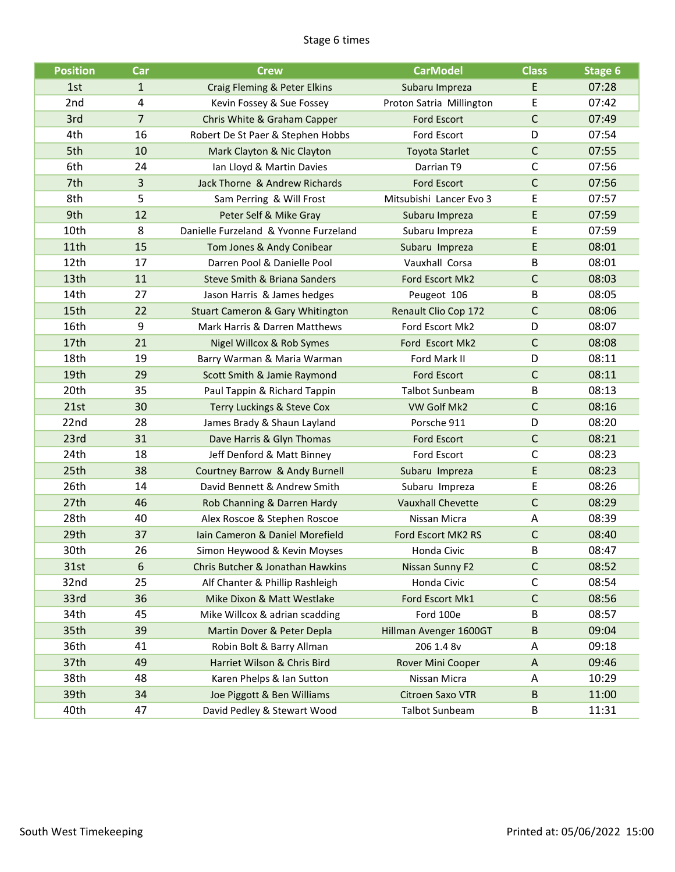#### Stage 6 times

| <b>Position</b> | Car              | <b>Crew</b>                                 | <b>CarModel</b>          | <b>Class</b> | Stage 6 |
|-----------------|------------------|---------------------------------------------|--------------------------|--------------|---------|
| 1st             | $\mathbf{1}$     | Craig Fleming & Peter Elkins                | Subaru Impreza           | E            | 07:28   |
| 2 <sub>nd</sub> | $\overline{4}$   | Kevin Fossey & Sue Fossey                   | Proton Satria Millington | Ε            | 07:42   |
| 3rd             | $\overline{7}$   | Chris White & Graham Capper                 | <b>Ford Escort</b>       | $\mathsf{C}$ | 07:49   |
| 4th             | 16               | Robert De St Paer & Stephen Hobbs           | Ford Escort              | D            | 07:54   |
| 5th             | 10               | Mark Clayton & Nic Clayton                  | <b>Toyota Starlet</b>    | $\mathsf C$  | 07:55   |
| 6th             | 24               | Ian Lloyd & Martin Davies                   | Darrian T9               | С            | 07:56   |
| 7th             | 3                | Jack Thorne & Andrew Richards               | <b>Ford Escort</b>       | $\mathsf C$  | 07:56   |
| 8th             | 5                | Sam Perring & Will Frost                    | Mitsubishi Lancer Evo 3  | Ε            | 07:57   |
| 9th             | 12               | Peter Self & Mike Gray                      | Subaru Impreza           | E            | 07:59   |
| 10th            | 8                | Danielle Furzeland & Yvonne Furzeland       | Subaru Impreza           | E            | 07:59   |
| 11th            | 15               | Tom Jones & Andy Conibear                   | Subaru Impreza           | E            | 08:01   |
| 12th            | 17               | Darren Pool & Danielle Pool                 | Vauxhall Corsa           | B            | 08:01   |
| 13th            | 11               | Steve Smith & Briana Sanders                | Ford Escort Mk2          | $\mathsf{C}$ | 08:03   |
| 14th            | 27               | Jason Harris & James hedges                 | Peugeot 106              | B            | 08:05   |
| 15th            | 22               | <b>Stuart Cameron &amp; Gary Whitington</b> | Renault Clio Cop 172     | $\mathsf{C}$ | 08:06   |
| 16th            | 9                | Mark Harris & Darren Matthews               | Ford Escort Mk2          | D            | 08:07   |
| 17th            | 21               | Nigel Willcox & Rob Symes                   | Ford Escort Mk2          | $\mathsf C$  | 08:08   |
| 18th            | 19               | Barry Warman & Maria Warman                 | Ford Mark II             | D            | 08:11   |
| 19th            | 29               | Scott Smith & Jamie Raymond                 | <b>Ford Escort</b>       | $\mathsf{C}$ | 08:11   |
| 20th            | 35               | Paul Tappin & Richard Tappin                | <b>Talbot Sunbeam</b>    | B            | 08:13   |
| 21st            | 30               | Terry Luckings & Steve Cox                  | VW Golf Mk2              | $\mathsf{C}$ | 08:16   |
| 22nd            | 28               | James Brady & Shaun Layland                 | Porsche 911              | D            | 08:20   |
| 23rd            | 31               | Dave Harris & Glyn Thomas                   | <b>Ford Escort</b>       | $\mathsf C$  | 08:21   |
| 24th            | 18               | Jeff Denford & Matt Binney                  | Ford Escort              | $\mathsf{C}$ | 08:23   |
| 25th            | 38               | Courtney Barrow & Andy Burnell              | Subaru Impreza           | E            | 08:23   |
| 26th            | 14               | David Bennett & Andrew Smith                | Subaru Impreza           | E            | 08:26   |
| 27th            | 46               | Rob Channing & Darren Hardy                 | <b>Vauxhall Chevette</b> | $\mathsf{C}$ | 08:29   |
| 28th            | 40               | Alex Roscoe & Stephen Roscoe                | Nissan Micra             | Α            | 08:39   |
| 29th            | 37               | Iain Cameron & Daniel Morefield             | Ford Escort MK2 RS       | $\mathsf{C}$ | 08:40   |
| 30th            | 26               | Simon Heywood & Kevin Moyses                | Honda Civic              | B            | 08:47   |
| 31st            | $\boldsymbol{6}$ | Chris Butcher & Jonathan Hawkins            | Nissan Sunny F2          | $\mathsf C$  | 08:52   |
| 32nd            | 25               | Alf Chanter & Phillip Rashleigh             | Honda Civic              | С            | 08:54   |
| 33rd            | 36               | Mike Dixon & Matt Westlake                  | Ford Escort Mk1          | $\mathsf C$  | 08:56   |
| 34th            | 45               | Mike Willcox & adrian scadding              | Ford 100e                | B            | 08:57   |
| 35th            | 39               | Martin Dover & Peter Depla                  | Hillman Avenger 1600GT   | B            | 09:04   |
| 36th            | 41               | Robin Bolt & Barry Allman                   | 206 1.4 8v               | Α            | 09:18   |
| 37th            | 49               | Harriet Wilson & Chris Bird                 | Rover Mini Cooper        | A            | 09:46   |
| 38th            | 48               | Karen Phelps & Ian Sutton                   | Nissan Micra             | A            | 10:29   |
| 39th            | 34               | Joe Piggott & Ben Williams                  | <b>Citroen Saxo VTR</b>  | B            | 11:00   |
| 40th            | 47               | David Pedley & Stewart Wood                 | <b>Talbot Sunbeam</b>    | В            | 11:31   |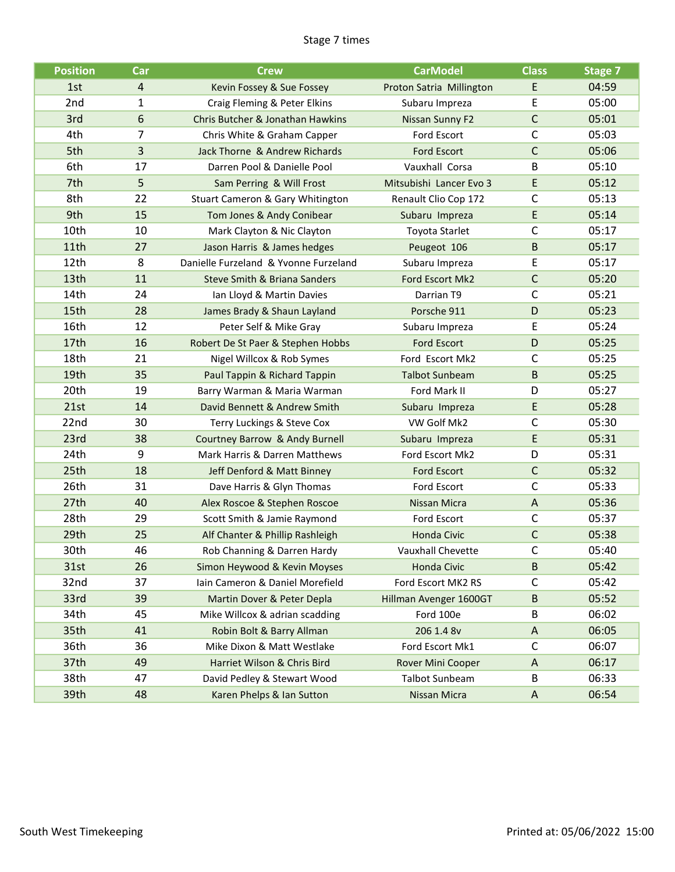#### Stage 7 times

| <b>Position</b>  | Car | <b>Crew</b>                           | <b>CarModel</b>          | <b>Class</b> | Stage 7 |
|------------------|-----|---------------------------------------|--------------------------|--------------|---------|
| 1st              | 4   | Kevin Fossey & Sue Fossey             | Proton Satria Millington | E            | 04:59   |
| 2nd              | 1   | Craig Fleming & Peter Elkins          | Subaru Impreza           | E            | 05:00   |
| 3rd              | 6   | Chris Butcher & Jonathan Hawkins      | Nissan Sunny F2          | $\mathsf{C}$ | 05:01   |
| 4th              | 7   | Chris White & Graham Capper           | Ford Escort              | $\mathsf{C}$ | 05:03   |
| 5th              | 3   | Jack Thorne & Andrew Richards         | <b>Ford Escort</b>       | $\mathsf C$  | 05:06   |
| 6th              | 17  | Darren Pool & Danielle Pool           | Vauxhall Corsa           | B            | 05:10   |
| 7th              | 5   | Sam Perring & Will Frost              | Mitsubishi Lancer Evo 3  | E.           | 05:12   |
| 8th              | 22  | Stuart Cameron & Gary Whitington      | Renault Clio Cop 172     | С            | 05:13   |
| 9th              | 15  | Tom Jones & Andy Conibear             | Subaru Impreza           | E            | 05:14   |
| 10th             | 10  | Mark Clayton & Nic Clayton            | Toyota Starlet           | $\mathsf C$  | 05:17   |
| 11th             | 27  | Jason Harris & James hedges           | Peugeot 106              | B            | 05:17   |
| 12 <sub>th</sub> | 8   | Danielle Furzeland & Yvonne Furzeland | Subaru Impreza           | Ε            | 05:17   |
| 13th             | 11  | Steve Smith & Briana Sanders          | Ford Escort Mk2          | $\mathsf{C}$ | 05:20   |
| 14th             | 24  | Ian Lloyd & Martin Davies             | Darrian T9               | $\mathsf{C}$ | 05:21   |
| 15th             | 28  | James Brady & Shaun Layland           | Porsche 911              | D            | 05:23   |
| 16th             | 12  | Peter Self & Mike Gray                | Subaru Impreza           | Ε            | 05:24   |
| 17th             | 16  | Robert De St Paer & Stephen Hobbs     | <b>Ford Escort</b>       | D            | 05:25   |
| 18th             | 21  | Nigel Willcox & Rob Symes             | Ford Escort Mk2          | $\mathsf{C}$ | 05:25   |
| 19th             | 35  | Paul Tappin & Richard Tappin          | <b>Talbot Sunbeam</b>    | B            | 05:25   |
| 20th             | 19  | Barry Warman & Maria Warman           | Ford Mark II             | D            | 05:27   |
| 21st             | 14  | David Bennett & Andrew Smith          | Subaru Impreza           | E            | 05:28   |
| 22nd             | 30  | Terry Luckings & Steve Cox            | VW Golf Mk2              | С            | 05:30   |
| 23rd             | 38  | Courtney Barrow & Andy Burnell        | Subaru Impreza           | E            | 05:31   |
| 24th             | 9   | Mark Harris & Darren Matthews         | Ford Escort Mk2          | D            | 05:31   |
| 25th             | 18  | Jeff Denford & Matt Binney            | <b>Ford Escort</b>       | $\mathsf{C}$ | 05:32   |
| 26th             | 31  | Dave Harris & Glyn Thomas             | Ford Escort              | C            | 05:33   |
| 27th             | 40  | Alex Roscoe & Stephen Roscoe          | <b>Nissan Micra</b>      | A            | 05:36   |
| 28th             | 29  | Scott Smith & Jamie Raymond           | <b>Ford Escort</b>       | C            | 05:37   |
| 29th             | 25  | Alf Chanter & Phillip Rashleigh       | <b>Honda Civic</b>       | $\mathsf{C}$ | 05:38   |
| 30th             | 46  | Rob Channing & Darren Hardy           | Vauxhall Chevette        | C            | 05:40   |
| 31st             | 26  | Simon Heywood & Kevin Moyses          | Honda Civic              | B            | 05:42   |
| 32nd             | 37  | Iain Cameron & Daniel Morefield       | Ford Escort MK2 RS       | С            | 05:42   |
| 33rd             | 39  | Martin Dover & Peter Depla            | Hillman Avenger 1600GT   | B            | 05:52   |
| 34th             | 45  | Mike Willcox & adrian scadding        | Ford 100e                | B            | 06:02   |
| 35th             | 41  | Robin Bolt & Barry Allman             | 206 1.4 8v               | Α            | 06:05   |
| 36th             | 36  | Mike Dixon & Matt Westlake            | Ford Escort Mk1          | C            | 06:07   |
| 37th             | 49  | Harriet Wilson & Chris Bird           | Rover Mini Cooper        | A            | 06:17   |
| 38th             | 47  | David Pedley & Stewart Wood           | <b>Talbot Sunbeam</b>    | В            | 06:33   |
| 39th             | 48  | Karen Phelps & Ian Sutton             | Nissan Micra             | A            | 06:54   |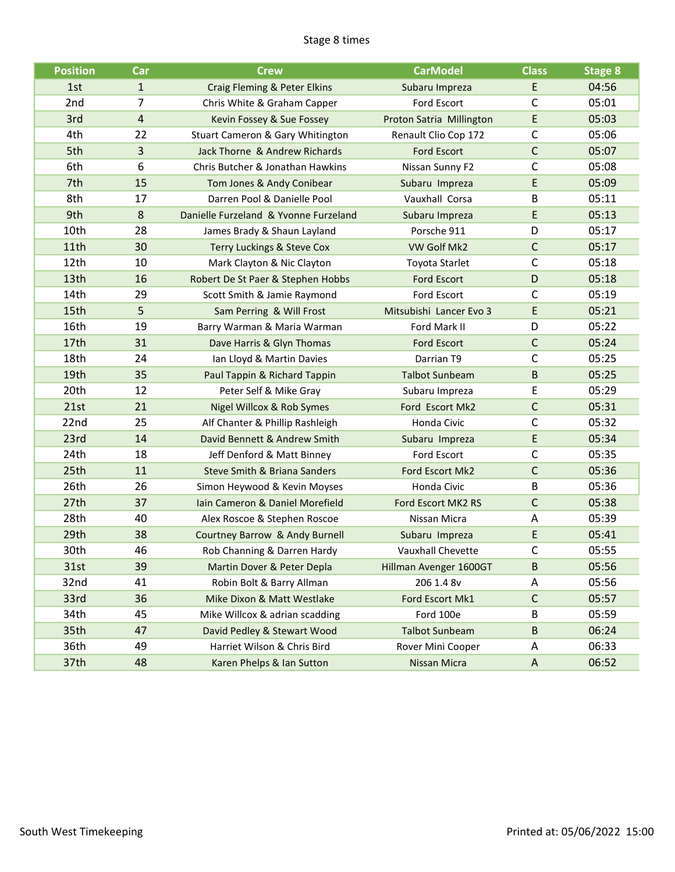#### Stage 8 times

| <b>Position</b> | Car            | <b>Crew</b>                                           | <b>CarModel</b>          | <b>Class</b> | <b>Stage 8</b> |
|-----------------|----------------|-------------------------------------------------------|--------------------------|--------------|----------------|
| 1st             | $\mathbf{1}$   | Craig Fleming & Peter Elkins                          | Subaru Impreza           | E            | 04:56          |
| 2nd             | 7              | Chris White & Graham Capper                           | Ford Escort              | C            | 05:01          |
| 3rd             | $\overline{4}$ | Kevin Fossey & Sue Fossey                             | Proton Satria Millington | E            | 05:03          |
| 4th             | 22             | Stuart Cameron & Gary Whitington                      | Renault Clio Cop 172     | $\mathsf C$  | 05:06          |
| 5th             | 3              | Jack Thorne & Andrew Richards                         | <b>Ford Escort</b>       | $\mathsf{C}$ | 05:07          |
| 6th             | 6              | Chris Butcher & Jonathan Hawkins                      | Nissan Sunny F2          | $\mathsf{C}$ | 05:08          |
| 7th             | 15             | Tom Jones & Andy Conibear                             | Subaru Impreza           | E            | 05:09          |
| 8th             | 17             | Darren Pool & Danielle Pool                           | Vauxhall Corsa           | B            | 05:11          |
| 9th             | 8              | Danielle Furzeland & Yvonne Furzeland                 | Subaru Impreza           | E            | 05:13          |
| 10th            | 28             | James Brady & Shaun Layland                           | Porsche 911              | D            | 05:17          |
| 11th            | 30             | Terry Luckings & Steve Cox                            | VW Golf Mk2              | $\mathsf C$  | 05:17          |
| 12th            | 10             | Mark Clayton & Nic Clayton                            | <b>Toyota Starlet</b>    | $\mathsf{C}$ | 05:18          |
| 13th            | 16             | Robert De St Paer & Stephen Hobbs                     | <b>Ford Escort</b>       | D            | 05:18          |
| 14th            | 29             | Scott Smith & Jamie Raymond                           | Ford Escort              | C            | 05:19          |
| 15th            | 5              | Sam Perring & Will Frost                              | Mitsubishi Lancer Evo 3  | E            | 05:21          |
| 16th            | 19             | Barry Warman & Maria Warman                           | Ford Mark II             | D            | 05:22          |
| 17th            | 31             | Dave Harris & Glyn Thomas                             | Ford Escort              | $\mathsf{C}$ | 05:24          |
| 18th            | 24             | Ian Lloyd & Martin Davies                             | Darrian T9               | $\mathsf{C}$ | 05:25          |
| 19th            | 35             | Paul Tappin & Richard Tappin                          | <b>Talbot Sunbeam</b>    | B            | 05:25          |
| 20th            | 12             | Peter Self & Mike Gray                                | Subaru Impreza           | Ε            | 05:29          |
| 21st            | 21             | Nigel Willcox & Rob Symes                             | Ford Escort Mk2          | $\mathsf{C}$ | 05:31          |
| 22nd            | 25             | Alf Chanter & Phillip Rashleigh                       | Honda Civic              | $\mathsf C$  | 05:32          |
| 23rd            | 14             | David Bennett & Andrew Smith                          | Subaru Impreza           | E            | 05:34          |
| 24th            | 18             | Jeff Denford & Matt Binney                            | <b>Ford Escort</b>       | $\mathsf{C}$ | 05:35          |
| 25th            | 11             | Steve Smith & Briana Sanders                          | Ford Escort Mk2          | $\mathsf C$  | 05:36          |
| 26th            | 26             | Simon Heywood & Kevin Moyses                          | Honda Civic              | B            | 05:36          |
| 27th            | 37             | Iain Cameron & Daniel Morefield                       | Ford Escort MK2 RS       | $\mathsf{C}$ | 05:38          |
| 28th            | 40             | Alex Roscoe & Stephen Roscoe                          | Nissan Micra             | A            | 05:39          |
| 29th            | 38             | Courtney Barrow & Andy Burnell                        | Subaru Impreza           | E            | 05:41          |
| 30th            | 46             | Rob Channing & Darren Hardy                           | <b>Vauxhall Chevette</b> | С            | 05:55          |
| 31st            | 39             | Martin Dover & Peter Depla                            | Hillman Avenger 1600GT   | B            | 05:56          |
| 32nd            | 41             | Robin Bolt & Barry Allman                             | 206 1.4 8v               | A            | 05:56          |
| 33rd            | 36             | Mike Dixon & Matt Westlake                            | Ford Escort Mk1          | $\mathsf{C}$ | 05:57          |
| 34th            | 45             | Mike Willcox & adrian scadding                        | Ford 100e                | B            | 05:59          |
| 35th            | 47             | David Pedley & Stewart Wood<br><b>Talbot Sunbeam</b>  |                          | B            | 06:24          |
| 36th            | 49             | Harriet Wilson & Chris Bird<br>Rover Mini Cooper<br>Α |                          |              | 06:33          |
| 37th            | 48             | Karen Phelps & Ian Sutton                             | Nissan Micra             | $\mathsf{A}$ | 06:52          |